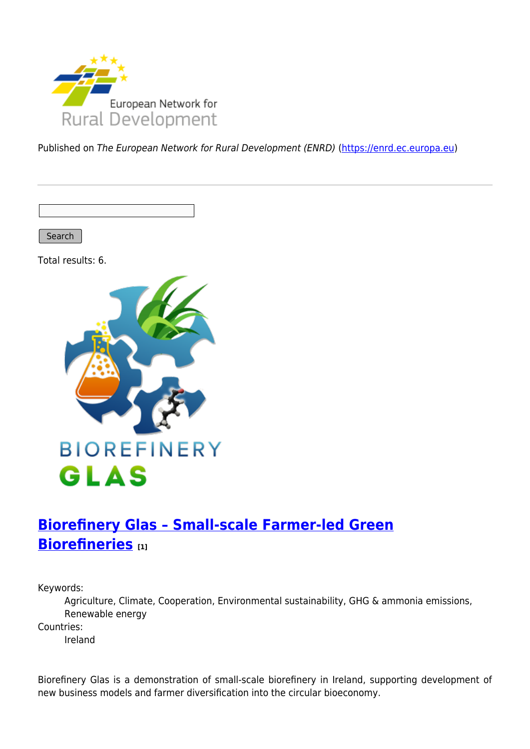

Published on The European Network for Rural Development (ENRD) [\(https://enrd.ec.europa.eu](https://enrd.ec.europa.eu))

Search

Total results: 6.



# **[Biorefinery Glas – Small-scale Farmer-led Green](https://enrd.ec.europa.eu/projects-practice/biorefinery-glas-small-scale-farmer-led-green-biorefineries_en) [Biorefineries](https://enrd.ec.europa.eu/projects-practice/biorefinery-glas-small-scale-farmer-led-green-biorefineries_en) [1]**

Keywords:

Agriculture, Climate, Cooperation, Environmental sustainability, GHG & ammonia emissions, Renewable energy

Countries:

Ireland

Biorefinery Glas is a demonstration of small-scale biorefinery in Ireland, supporting development of new business models and farmer diversification into the circular bioeconomy.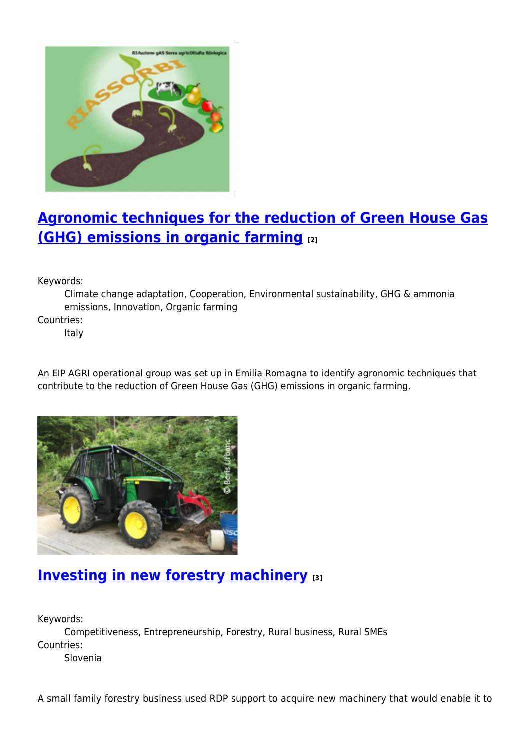

# **[Agronomic techniques for the reduction of Green House Gas](https://enrd.ec.europa.eu/projects-practice/agronomic-techniques-reduction-green-house-gas-ghg-emissions-organic-farming_en) [\(GHG\) emissions in organic farming](https://enrd.ec.europa.eu/projects-practice/agronomic-techniques-reduction-green-house-gas-ghg-emissions-organic-farming_en) [2]**

Keywords:

Climate change adaptation, Cooperation, Environmental sustainability, GHG & ammonia emissions, Innovation, Organic farming

Countries:

Italy

An EIP AGRI operational group was set up in Emilia Romagna to identify agronomic techniques that contribute to the reduction of Green House Gas (GHG) emissions in organic farming.



## **[Investing in new forestry machinery](https://enrd.ec.europa.eu/projects-practice/investing-new-forestry-machinery_en) [3]**

Keywords:

Competitiveness, Entrepreneurship, Forestry, Rural business, Rural SMEs Countries: Slovenia

A small family forestry business used RDP support to acquire new machinery that would enable it to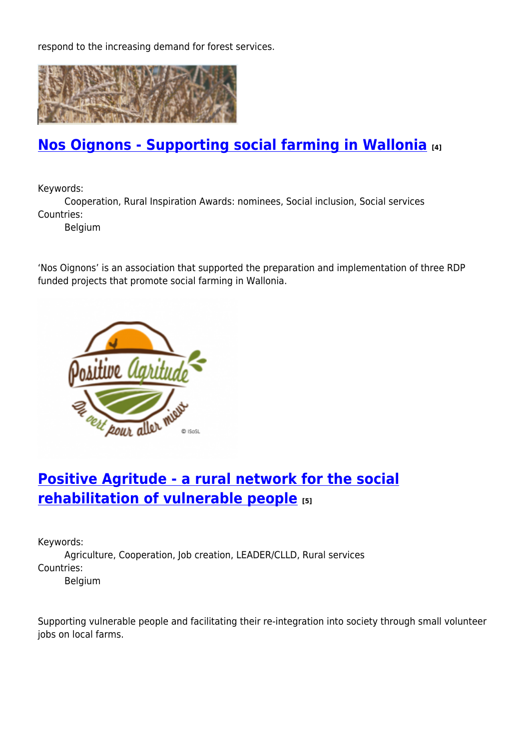respond to the increasing demand for forest services.



#### **[Nos Oignons - Supporting social farming in Wallonia](https://enrd.ec.europa.eu/projects-practice/nos-oignons-supporting-social-farming-wallonia_en) [4]**

Keywords:

Cooperation, Rural Inspiration Awards: nominees, Social inclusion, Social services Countries:

Belgium

'Nos Oignons' is an association that supported the preparation and implementation of three RDP funded projects that promote social farming in Wallonia.



### **[Positive Agritude - a rural network for the social](https://enrd.ec.europa.eu/projects-practice/positive-agritude-rural-network-social-rehabilitation-vulnerable-people_en) [rehabilitation of vulnerable people](https://enrd.ec.europa.eu/projects-practice/positive-agritude-rural-network-social-rehabilitation-vulnerable-people_en) [5]**

Keywords:

Agriculture, Cooperation, Job creation, LEADER/CLLD, Rural services Countries:

Belgium

Supporting vulnerable people and facilitating their re-integration into society through small volunteer jobs on local farms.